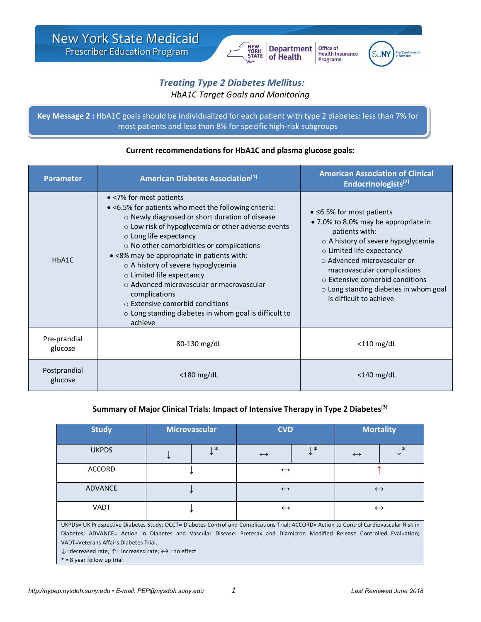

Office of **Health Insurance** Programs



# *Treating Type 2 Diabetes Mellitus: HbA1C Target Goals and Monitoring*

**Key Message 2 :** HbA1C goals should be individualized for each patient with type 2 diabetes: less than 7% for most patients and less than 8% for specific high-risk subgroups

#### **Parameter American Diabetes Association**<sup>[1]</sup> **American Association of Clinical <b>American American American American American American American American American American American American Americ Endocrinologists[2]** HbA1C • <7% for most patients • <6.5% for patients who meet the following criteria: o Newly diagnosed or short duration of disease o Low risk of hypoglycemia or other adverse events o Long life expectancy o No other comorbidities or complications • <8% may be appropriate in patients with: o A history of severe hypoglycemia o Limited life expectancy o Advanced microvascular or macrovascular complications o Extensive comorbid conditions o Long standing diabetes in whom goal is difficult to achieve • ≤6.5% for most patients • 7.0% to 8.0% may be appropriate in patients with: o A history of severe hypoglycemia o Limited life expectancy o Advanced microvascular or macrovascular complications o Extensive comorbid conditions o Long standing diabetes in whom goal is difficult to achieve Pre-prandial e pranaiar and a series of the series of the series of the series of the series of the series of the series of the series of the series of the series of the series of the series of the series of the series of the series of Postprandial glucose <180 mg/dL <140 mg/dL

# **Current recommendations for HbA1C and plasma glucose goals:**

### **Summary of Major Clinical Trials: Impact of Intensive Therapy in Type 2 Diabetes[3]**

| <b>Study</b>                                                                                                                           | <b>Microvascular</b> |        | <b>CVD</b>        |   | <b>Mortality</b>  |         |  |
|----------------------------------------------------------------------------------------------------------------------------------------|----------------------|--------|-------------------|---|-------------------|---------|--|
| <b>UKPDS</b>                                                                                                                           |                      | $\ast$ | $\leftrightarrow$ | * | $\leftrightarrow$ | $\cdot$ |  |
| <b>ACCORD</b>                                                                                                                          |                      |        | $\leftrightarrow$ |   |                   |         |  |
| ADVANCE                                                                                                                                |                      |        | $\leftrightarrow$ |   | $\leftrightarrow$ |         |  |
| <b>VADT</b>                                                                                                                            |                      |        | $\leftrightarrow$ |   | $\leftrightarrow$ |         |  |
| UKPDS= UK Prospective Diabetes Study; DCCT= Diabetes Control and Complications Trial; ACCORD= Action to Control Cardiovascular Risk in |                      |        |                   |   |                   |         |  |
| Diabetes; ADVANCE= Action in Diabetes and Vascular Disease: Preterax and Diamicron Modified Release Controlled Evaluation;             |                      |        |                   |   |                   |         |  |
| VADT=Veterans Affairs Diabetes Trial.                                                                                                  |                      |        |                   |   |                   |         |  |
| $\downarrow$ =decreased rate; $\uparrow$ = increased rate; $\leftrightarrow$ =no effect                                                |                      |        |                   |   |                   |         |  |
| $* = 8$ year follow up trial                                                                                                           |                      |        |                   |   |                   |         |  |